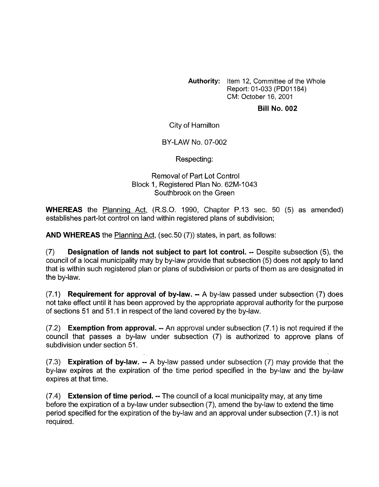**Authority:** Item 12, Committee of the Whole Report: 01-033 (PDOI 184) CM: October 16, 2001

## **Bill No. 002**

City of Hamilton

BY-LAW NO. 07-002

Respecting:

## Removal of Part Lot Control Block 1, Registered Plan No. 62M-1043 Southbrook on the Green

**WHEREAS** the Planning Act, (R.S.O. 1990, Chapter P.13 sec. 50 (5) as amended) establishes part-lot control on land within registered plans of subdivision;

**AND WHEREAS** the Planning Act, (sec.50 (7)) states, in part, as follows:

(7) **Designation of lands not subject to part lot control.** -- Despite subsection (5), the council of a local municipality may by by-law provide that subsection (5) does not apply to land that is within such registered plan or plans of subdivision or parts of them as are designated in the by-law.

(7.1) **Requirement for approval of by-law.** -- A by-law passed under subsection (7) does not take effect until it has been approved by the appropriate approval authority for the purpose of sections 51 and 51.1 in respect of the land covered by the by-law.

(7.2) **Exemption from approval.** -- An approval under subsection (7.1) is not required if the council that passes a by-law under subsection (7) is authorized to approve plans of subdivision under section 51.

(7.3) **Expiration of by-law.** -- A by-law passed under subsection (7) may provide that the by-law expires at the expiration of the time period specified in the by-law and the by-law expires at that time.

(7.4) **Extension of time period.** -- The council of a local municipality may, at any time before the expiration of a by-law under subsection *(7),* amend the by-law to extend the time period specified for the expiration of the by-law and an approval under subsection (7.1) is not required.